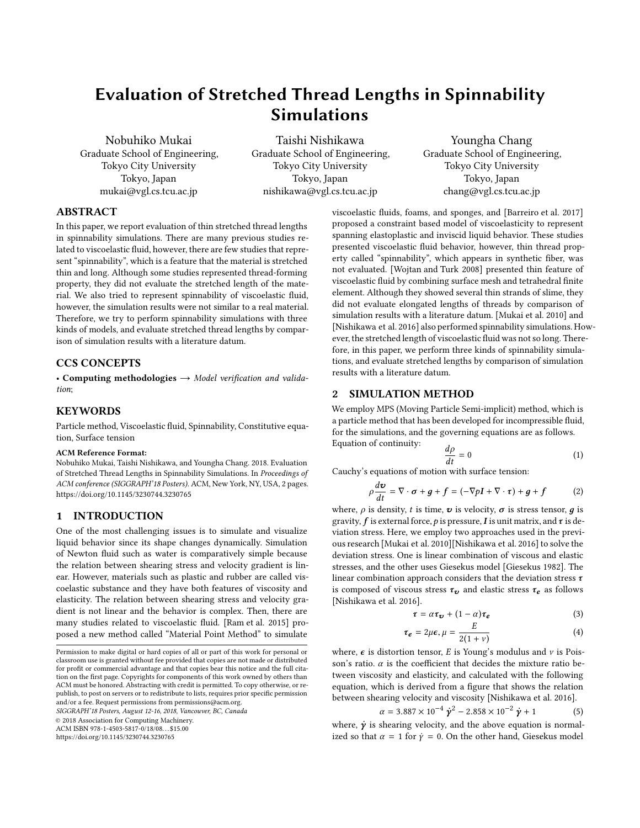# **Evaluation of Stretched Thread Lengths in Spinnability Simulations**

Nobuhiko Mukai Graduate School of Engineering, Tokyo City University Tokyo, Japan mukai@vgl.cs.tcu.ac.jp

Taishi Nishikawa Graduate School of Engineering, Tokyo City University Tokyo, Japan nishikawa@vgl.cs.tcu.ac.jp

Youngha Chang Graduate School of Engineering, Tokyo City University Tokyo, Japan chang@vgl.cs.tcu.ac.jp

## **ABSTRACT**

In this paper, we report evaluation of thin stretched thread lengths in spinnability simulations. There are many previous studies related to viscoelastic fluid, however, there are few studies that represent "spinnability", which is a feature that the material is stretched thin and long. Although some studies represented thread-forming property, they did not evaluate the stretched length of the material. We also tried to represent spinnability of viscoelastic fluid, however, the simulation results were not similar to a real material. Therefore, we try to perform spinnability simulations with three kinds of models, and evaluate stretched thread lengths by comparison of simulation results with a literature datum.

## **CCS CONCEPTS**

• **Computing methodologies** → *Model verification and validation*;

## **KEYWORDS**

Particle method, Viscoelastic fluid, Spinnability, Constitutive equation, Surface tension

#### **ACM Reference Format:**

Nobuhiko Mukai, Taishi Nishikawa, and Youngha Chang. 2018. Evaluation of Stretched Thread Lengths in Spinnability Simulations. In *Proceedings of ACM conference (SIGGRAPH'18 Posters).* ACM, New York, NY, USA, 2 pages. https://doi.org/10.1145/3230744.3230765

## **1 INTRODUCTION**

One of the most challenging issues is to simulate and visualize liquid behavior since its shape changes dynamically. Simulation of Newton fluid such as water is comparatively simple because the relation between shearing stress and velocity gradient is linear. However, materials such as plastic and rubber are called viscoelastic substance and they have both features of viscosity and elasticity. The relation between shearing stress and velocity gradient is not linear and the behavior is complex. Then, there are many studies related to viscoelastic fluid. [Ram et al. 2015] proposed a new method called "Material Point Method" to simulate

*SIGGRAPH'18 Posters, August 12-16, 2018, Vancouver, BC, Canada*

© 2018 Association for Computing Machinery.

ACM ISBN 978-1-4503-5817-0/18/08. . . \$15.00

https://doi.org/10.1145/3230744.3230765

viscoelastic fluids, foams, and sponges, and [Barreiro et al. 2017] proposed a constraint based model of viscoelasticity to represent spanning elastoplastic and inviscid liquid behavior. These studies presented viscoelastic fluid behavior, however, thin thread property called "spinnability", which appears in synthetic fiber, was not evaluated. [Wojtan and Turk 2008] presented thin feature of viscoelastic fluid by combining surface mesh and tetrahedral finite element. Although they showed several thin strands of slime, they did not evaluate elongated lengths of threads by comparison of simulation results with a literature datum. [Mukai et al. 2010] and [Nishikawa et al. 2016] also performed spinnability simulations. However, the stretched length of viscoelastic fluid was not so long. Therefore, in this paper, we perform three kinds of spinnability simulations, and evaluate stretched lengths by comparison of simulation results with a literature datum.

#### **2 SIMULATION METHOD**

We employ MPS (Moving Particle Semi-implicit) method, which is a particle method that has been developed for incompressible fluid, for the simulations, and the governing equations are as follows. Equation of continuity:

$$
\frac{d\rho}{dt} = 0\tag{1}
$$

Cauchy's equations of motion with surface tension:

$$
\rho \frac{d\mathbf{v}}{dt} = \nabla \cdot \boldsymbol{\sigma} + \boldsymbol{g} + \boldsymbol{f} = (-\nabla p \boldsymbol{I} + \nabla \cdot \boldsymbol{\tau}) + \boldsymbol{g} + \boldsymbol{f} \tag{2}
$$

where,  $\rho$  is density, *t* is time,  $\boldsymbol{v}$  is velocity,  $\sigma$  is stress tensor,  $g$  is gravity, *f* is external force,*p* is pressure,*I* is unit matrix, and*τ* is deviation stress. Here, we employ two approaches used in the previous research [Mukai et al. 2010][Nishikawa et al. 2016] to solve the deviation stress. One is linear combination of viscous and elastic stresses, and the other uses Giesekus model [Giesekus 1982]. The linear combination approach considers that the deviation stress *τ* is composed of viscous stress  $\tau_v$  and elastic stress  $\tau_e$  as follows [Nishikawa et al. 2016].

$$
\tau = \alpha \tau_{\nu} + (1 - \alpha) \tau_{e} \tag{3}
$$

$$
\tau_e = 2\mu\epsilon, \mu = \frac{E}{2(1+\nu)}\tag{4}
$$

where,  $\epsilon$  is distortion tensor, *E* is Young's modulus and *ν* is Poisson's ratio.  $\alpha$  is the coefficient that decides the mixture ratio between viscosity and elasticity, and calculated with the following equation, which is derived from a figure that shows the relation between shearing velocity and viscosity [Nishikawa et al. 2016].

$$
\alpha = 3.887 \times 10^{-4} \dot{\gamma}^2 - 2.858 \times 10^{-2} \dot{\gamma} + 1 \tag{5}
$$

where, *γ***˙** is shearing velocity, and the above equation is normalized so that  $\alpha = 1$  for  $\dot{y} = 0$ . On the other hand, Giesekus model

Permission to make digital or hard copies of all or part of this work for personal or classroom use is granted without fee provided that copies are not made or distributed for profit or commercial advantage and that copies bear this notice and the full citation on the first page. Copyrights for components of this work owned by others than ACM must be honored. Abstracting with credit is permitted. To copy otherwise, or republish, to post on servers or to redistribute to lists, requires prior specific permission and/or a fee. Request permissions from permissions@acm.org.